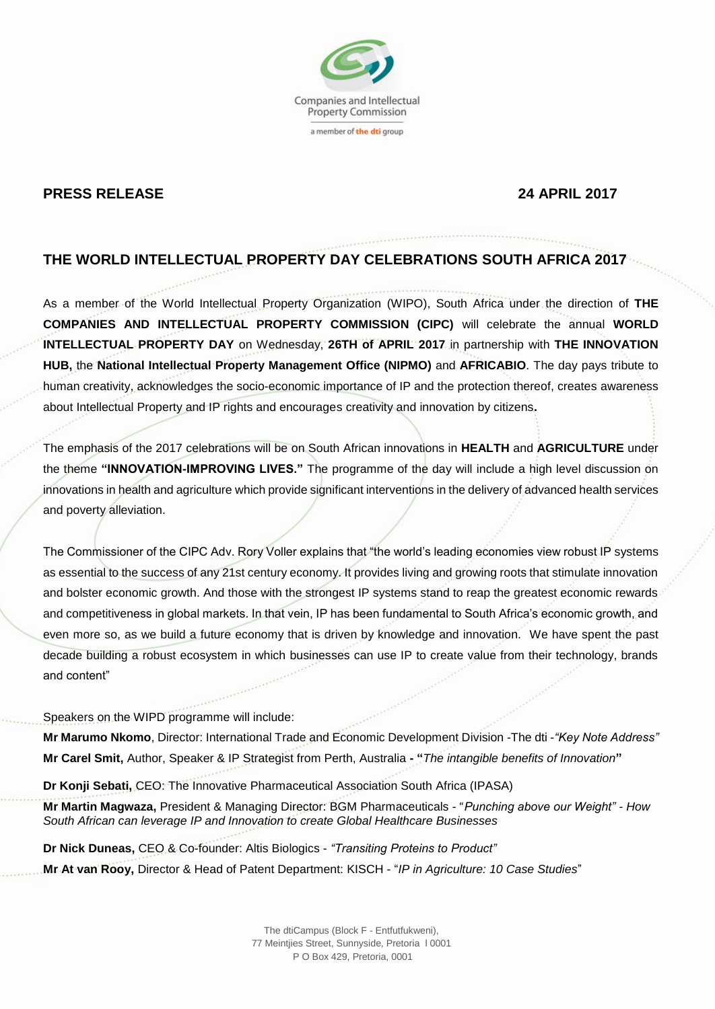

## **PRESS RELEASE 24 APRIL 2017**

# **THE WORLD INTELLECTUAL PROPERTY DAY CELEBRATIONS SOUTH AFRICA 2017**

As a member of the World Intellectual Property Organization (WIPO), South Africa under the direction of **THE COMPANIES AND INTELLECTUAL PROPERTY COMMISSION (CIPC)** will celebrate the annual **WORLD INTELLECTUAL PROPERTY DAY** on Wednesday, **26TH of APRIL 2017** in partnership with **THE INNOVATION HUB,** the **National Intellectual Property Management Office (NIPMO)** and **AFRICABIO**. The day pays tribute to human creativity, acknowledges the socio-economic importance of IP and the protection thereof, creates awareness about Intellectual Property and IP rights and encourages creativity and innovation by citizens**.**

The emphasis of the 2017 celebrations will be on South African innovations in **HEALTH** and **AGRICULTURE** under the theme **"INNOVATION-IMPROVING LIVES."** The programme of the day will include a high level discussion on innovations in health and agriculture which provide significant interventions in the delivery of advanced health services and poverty alleviation.

The Commissioner of the CIPC Adv. Rory Voller explains that "the world's leading economies view robust IP systems as essential to the success of any 21st century economy. It provides living and growing roots that stimulate innovation and bolster economic growth. And those with the strongest IP systems stand to reap the greatest economic rewards and competitiveness in global markets. In that vein, IP has been fundamental to South Africa's economic growth, and even more so, as we build a future economy that is driven by knowledge and innovation. We have spent the past decade building a robust ecosystem in which businesses can use IP to create value from their technology, brands and content"

Speakers on the WIPD programme will include:

**Mr Marumo Nkomo**, Director: International Trade and Economic Development Division -The dti -*"Key Note Address"* **Mr Carel Smit,** Author, Speaker & IP Strategist from Perth, Australia **- "***The intangible benefits of Innovation***"** 

**Dr Konji Sebati,** CEO: [The Innovative Pharmaceutical Association South](https://www.google.com/url?sa=t&rct=j&q=&esrc=s&source=web&cd=1&cad=rja&uact=8&ved=0ahUKEwiI46L7mbvTAhWoCMAKHSP4CY8QFggjMAA&url=http%3A%2F%2Fipasa.co.za%2F&usg=AFQjCNFKjVXg7vMpk0Nsz4_0g6sZV2X5xg) Africa (IPASA)

**Mr Martin Magwaza,** President & Managing Director: BGM Pharmaceuticals - "*Punching above our Weight" - How South African can leverage IP and Innovation to create Global Healthcare Businesses*

**Dr Nick Duneas,** CEO & Co-founder: Altis Biologics - *"Transiting Proteins to Product"* **Mr At van Rooy,** Director & Head of Patent Department: KISCH - "*IP in Agriculture: 10 Case Studies*"

> The dtiCampus (Block F - Entfutfukweni), 77 Meintjies Street, Sunnyside, Pretoria l 0001 P O Box 429, Pretoria, 0001